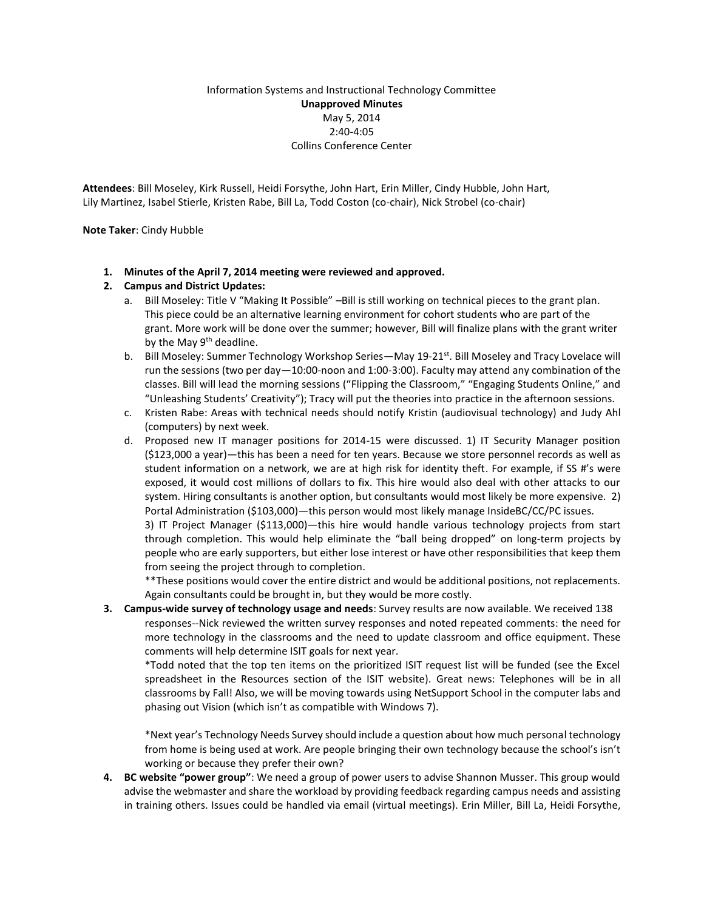## Information Systems and Instructional Technology Committee **Unapproved Minutes** May 5, 2014 2:40-4:05 Collins Conference Center

**Attendees**: Bill Moseley, Kirk Russell, Heidi Forsythe, John Hart, Erin Miller, Cindy Hubble, John Hart, Lily Martinez, Isabel Stierle, Kristen Rabe, Bill La, Todd Coston (co-chair), Nick Strobel (co-chair)

## **Note Taker**: Cindy Hubble

**1. Minutes of the April 7, 2014 meeting were reviewed and approved.**

## **2. Campus and District Updates:**

- a. Bill Moseley: Title V "Making It Possible" –Bill is still working on technical pieces to the grant plan. This piece could be an alternative learning environment for cohort students who are part of the grant. More work will be done over the summer; however, Bill will finalize plans with the grant writer by the May 9<sup>th</sup> deadline.
- b. Bill Moseley: Summer Technology Workshop Series—May 19-21<sup>st</sup>. Bill Moseley and Tracy Lovelace will run the sessions (two per day—10:00-noon and 1:00-3:00). Faculty may attend any combination of the classes. Bill will lead the morning sessions ("Flipping the Classroom," "Engaging Students Online," and "Unleashing Students' Creativity"); Tracy will put the theories into practice in the afternoon sessions.
- c. Kristen Rabe: Areas with technical needs should notify Kristin (audiovisual technology) and Judy Ahl (computers) by next week.
- d. Proposed new IT manager positions for 2014-15 were discussed. 1) IT Security Manager position (\$123,000 a year)—this has been a need for ten years. Because we store personnel records as well as student information on a network, we are at high risk for identity theft. For example, if SS #'s were exposed, it would cost millions of dollars to fix. This hire would also deal with other attacks to our system. Hiring consultants is another option, but consultants would most likely be more expensive. 2) Portal Administration (\$103,000)—this person would most likely manage InsideBC/CC/PC issues.

3) IT Project Manager (\$113,000)—this hire would handle various technology projects from start through completion. This would help eliminate the "ball being dropped" on long-term projects by people who are early supporters, but either lose interest or have other responsibilities that keep them from seeing the project through to completion.

\*\*These positions would cover the entire district and would be additional positions, not replacements. Again consultants could be brought in, but they would be more costly.

**3. Campus-wide survey of technology usage and needs**: Survey results are now available. We received 138 responses--Nick reviewed the written survey responses and noted repeated comments: the need for more technology in the classrooms and the need to update classroom and office equipment. These comments will help determine ISIT goals for next year.

\*Todd noted that the top ten items on the prioritized ISIT request list will be funded (see the Excel spreadsheet in the Resources section of the ISIT website). Great news: Telephones will be in all classrooms by Fall! Also, we will be moving towards using NetSupport School in the computer labs and phasing out Vision (which isn't as compatible with Windows 7).

\*Next year's Technology Needs Survey should include a question about how much personal technology from home is being used at work. Are people bringing their own technology because the school's isn't working or because they prefer their own?

**4. BC website "power group"**: We need a group of power users to advise Shannon Musser. This group would advise the webmaster and share the workload by providing feedback regarding campus needs and assisting in training others. Issues could be handled via email (virtual meetings). Erin Miller, Bill La, Heidi Forsythe,